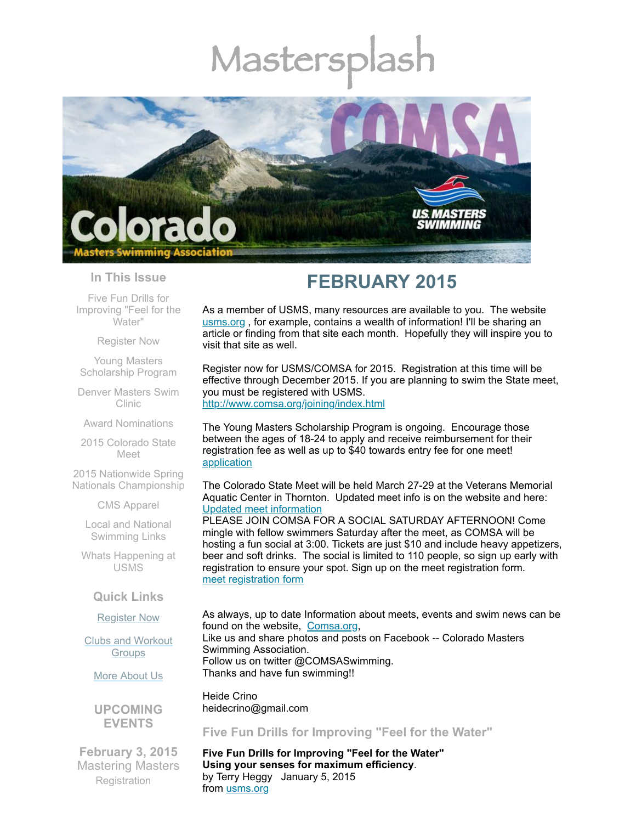# Mastersp



### **In This Issue**

Five Fun Drills for [Improving](#page-0-0) "Feel for the Water"

[Register](#page-1-0) Now

Young Masters [Scholarship](#page-1-1) Program

Denver [Masters](#page-2-0) Swim Clinic

Award [Nominations](#page-2-1)

2015 [Colorado](#page-2-2) State Meet

2015 Nationwide Spring Nationals [Championship](#page-3-0)

CMS [Apparel](#page-4-0)

Local and National [Swimming](#page-4-1) Links

Whats [Happening](#page-4-2) at USMS

# **Quick Links**

[Register](http://comsa.org/joining/index.html) Now

Clubs and [Workout](http://comsa.org/clubs/index.html) **Groups** 

More [About](http://comsa.org/) Us

**UPCOMING EVENTS**

**February 3, 2015** Mastering Masters **[Registration](https://www.clubassistant.com/club/clinics.cfm?c=1279)** 

# **FEBRUARY 2015**

As a member of USMS, many resources are available to you. The website [usms.org](http://www.usms.org/) , for example, contains a wealth of information! I'll be sharing an article or finding from that site each month. Hopefully they will inspire you to visit that site as well.

Register now for USMS/COMSA for 2015. Registration at this time will be effective through December 2015. If you are planning to swim the State meet, you must be registered with USMS. <http://www.comsa.org/joining/index.html>

The Young Masters Scholarship Program is ongoing. Encourage those between the ages of 18-24 to apply and receive reimbursement for their registration fee as well as up to \$40 towards entry fee for one meet! [application](https://mlsvc01-prod.s3.amazonaws.com/97cb2c13201/7b0e8b3f-a4e2-4d7f-b92b-766b33b59eff.pdf)

The Colorado State Meet will be held March 27-29 at the Veterans Memorial Aquatic Center in Thornton. Updated meet info is on the website and here: Updated meet [information](https://files.ctctcdn.com/97cb2c13201/913e98fe-8872-4e7b-8e69-31a4956792d8.docx)

PLEASE JOIN COMSA FOR A SOCIAL SATURDAY AFTERNOON! Come mingle with fellow swimmers Saturday after the meet, as COMSA will be hosting a fun social at 3:00. Tickets are just \$10 and include heavy appetizers, beer and soft drinks. The social is limited to 110 people, so sign up early with registration to ensure your spot. Sign up on the meet registration form. meet [registration](https://www.clubassistant.com/club/meet_information.cfm?c=1279&smid=6143) form

As always, up to date Information about meets, events and swim news can be found on the website, [Comsa.org,](http://comsa.org/) Like us and share photos and posts on Facebook -- Colorado Masters Swimming Association. Follow us on twitter @COMSASwimming. Thanks and have fun swimming!!

Heide Crino heidecrino@gmail.com

<span id="page-0-0"></span>**Five Fun Drills for Improving "Feel for the Water"**

**Five Fun Drills for Improving "Feel for the Water" Using your senses for maximum efficiency**. by Terry Heggy January 5, 2015 from [usms.org](http://www.usms.org/)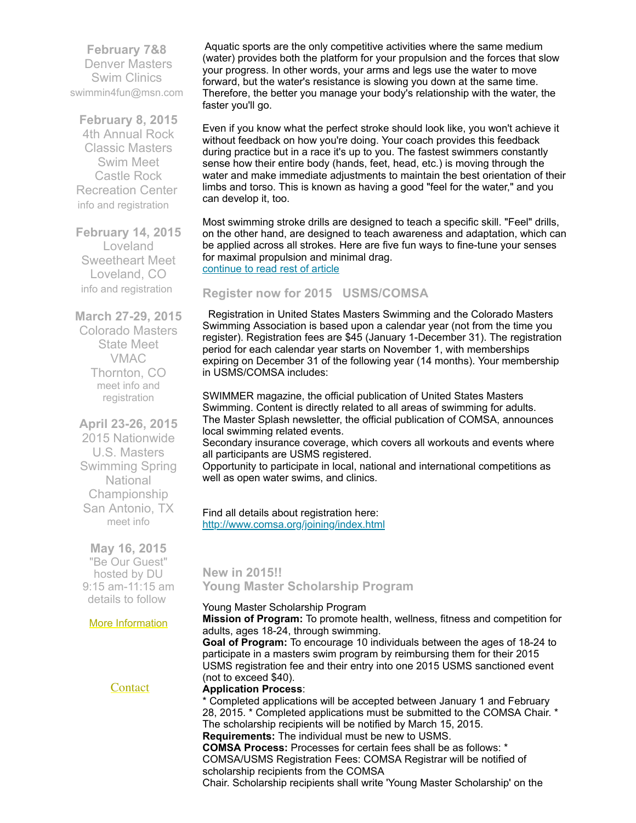**February 7&8**  Denver Masters Swim Clinics [swimmin4fun@msn.com](mailto:swimmin4fun@msn.com)

**February 8, 2015** 4th Annual Rock Classic Masters Swim Meet Castle Rock Recreation Center info and [registration](https://ti.to/rock-tri-club/rock-classic-2015)

**February 14, 2015** Loveland Sweetheart Meet Loveland, CO info and [registration](http://www.comsa.org/events/2015Pool/2015Sweetheart.pdf)

**March 27-29, 2015** Colorado Masters State Meet VMAC Thornton, CO meet info and [registration](https://www.clubassistant.com/club/meet_information.cfm?c=1279&smid=6143)

**April 23-26, 2015** 2015 Nationwide U.S. Masters Swimming Spring **National** Championship San Antonio, TX [meet](http://www.usms.org/content/scnats15meetinfo) info

**May 16, 2015** "Be Our Guest" hosted by DU 9:15 am-11:15 am details to follow

More [Information](http://www.comsa.org/)

[Contact](mailto:heidecrino@gmail.com?)

Aquatic sports are the only competitive activities where the same medium (water) provides both the platform for your propulsion and the forces that slow your progress. In other words, your arms and legs use the water to move forward, but the water's resistance is slowing you down at the same time. Therefore, the better you manage your body's relationship with the water, the faster you'll go.

Even if you know what the perfect stroke should look like, you won't achieve it without feedback on how you're doing. Your coach provides this feedback during practice but in a race it's up to you. The fastest swimmers constantly sense how their entire body (hands, feet, head, etc.) is moving through the water and make immediate adjustments to maintain the best orientation of their limbs and torso. This is known as having a good "feel for the water," and you can develop it, too.

Most swimming stroke drills are designed to teach a specific skill. "Feel" drills, on the other hand, are designed to teach awareness and adaptation, which can be applied across all strokes. Here are five fun ways to fine-tune your senses for maximal propulsion and minimal drag. [continue](http://www.usms.org/articles/articledisplay.php?aid=3052) to read rest of article

## <span id="page-1-0"></span>**Register now for 2015 USMS/COMSA**

Registration in United States Masters Swimming and the Colorado Masters Swimming Association is based upon a calendar year (not from the time you register). Registration fees are \$45 (January 1-December 31). The registration period for each calendar year starts on November 1, with memberships expiring on December 31 of the following year (14 months). Your membership in USMS/COMSA includes:

SWIMMER magazine, the official publication of United States Masters Swimming. Content is directly related to all areas of swimming for adults. The Master Splash newsletter, the official publication of COMSA, announces local swimming related events.

Secondary insurance coverage, which covers all workouts and events where all participants are USMS registered.

Opportunity to participate in local, national and international competitions as well as open water swims, and clinics.

Find all details about registration here: <http://www.comsa.org/joining/index.html>

<span id="page-1-1"></span>**New in 2015!! Young Master Scholarship Program**

#### Young Master Scholarship Program

**Mission of Program:** To promote health, wellness, fitness and competition for adults, ages 18-24, through swimming.

**Goal of Program:** To encourage 10 individuals between the ages of 18-24 to participate in a masters swim program by reimbursing them for their 2015 USMS registration fee and their entry into one 2015 USMS sanctioned event (not to exceed \$40).

#### **Application Process**:

\* Completed applications will be accepted between January 1 and February 28, 2015. \* Completed applications must be submitted to the COMSA Chair. \* The scholarship recipients will be notified by March 15, 2015. **Requirements:** The individual must be new to USMS.

**COMSA Process:** Processes for certain fees shall be as follows: \* COMSA/USMS Registration Fees: COMSA Registrar will be notified of scholarship recipients from the COMSA

Chair. Scholarship recipients shall write 'Young Master Scholarship' on the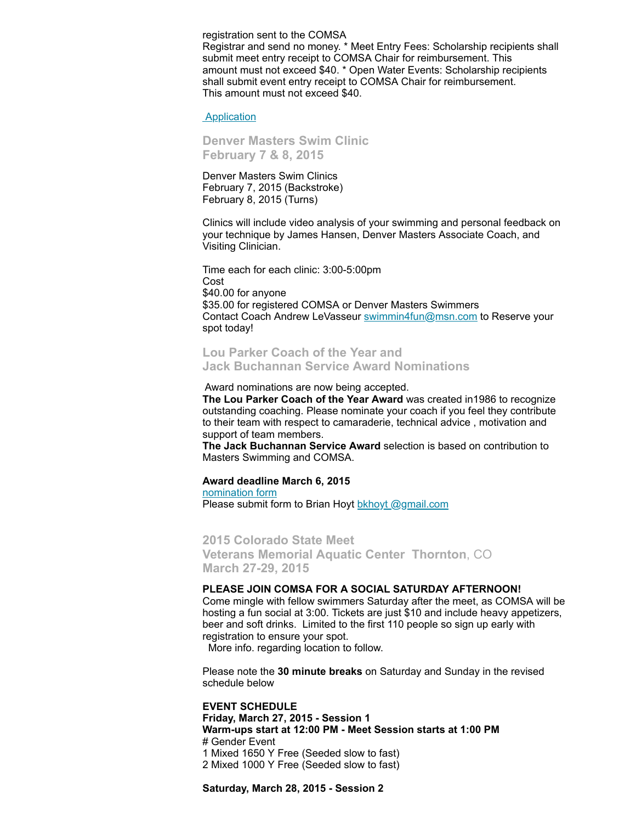registration sent to the COMSA Registrar and send no money. \* Meet Entry Fees: Scholarship recipients shall submit meet entry receipt to COMSA Chair for reimbursement. This amount must not exceed \$40. \* Open Water Events: Scholarship recipients shall submit event entry receipt to COMSA Chair for reimbursement. This amount must not exceed \$40.

#### [Application](https://mlsvc01-prod.s3.amazonaws.com/97cb2c13201/7b0e8b3f-a4e2-4d7f-b92b-766b33b59eff.pdf)

<span id="page-2-0"></span>**Denver Masters Swim Clinic February 7 & 8, 2015**

Denver Masters Swim Clinics February 7, 2015 (Backstroke) February 8, 2015 (Turns)

Clinics will include video analysis of your swimming and personal feedback on your technique by James Hansen, Denver Masters Associate Coach, and Visiting Clinician.

Time each for each clinic: 3:00-5:00pm Cost \$40.00 for anyone \$35.00 for registered COMSA or Denver Masters Swimmers Contact Coach Andrew LeVasseur [swimmin4fun@msn.com](mailto:swimmin4fun@msn.com) to Reserve your spot today!

<span id="page-2-1"></span>**Lou Parker Coach of the Year and Jack Buchannan Service Award Nominations**

Award nominations are now being accepted.

**The Lou Parker Coach of the Year Award** was created in1986 to recognize outstanding coaching. Please nominate your coach if you feel they contribute to their team with respect to camaraderie, technical advice , motivation and support of team members.

**The Jack Buchannan Service Award** selection is based on contribution to Masters Swimming and COMSA.

#### **Award deadline March 6, 2015**

[nomination](http://www.comsa.org/forms/2015Award%20Nomination%20Form.pdf) form

Please submit form to Brian Hoyt bkhoyt [@gmail.com](mailto:bkhoyt@gmail.com)

<span id="page-2-2"></span>**2015 Colorado State Meet Veterans Memorial Aquatic Center Thornton**, CO **March 27-29, 2015**

#### **PLEASE JOIN COMSA FOR A SOCIAL SATURDAY AFTERNOON!**

Come mingle with fellow swimmers Saturday after the meet, as COMSA will be hosting a fun social at 3:00. Tickets are just \$10 and include heavy appetizers, beer and soft drinks. Limited to the first 110 people so sign up early with registration to ensure your spot.

More info. regarding location to follow.

Please note the **30 minute breaks** on Saturday and Sunday in the revised schedule below

**EVENT SCHEDULE Friday, March 27, 2015 - Session 1 Warm-ups start at 12:00 PM - Meet Session starts at 1:00 PM** # Gender Event 1 Mixed 1650 Y Free (Seeded slow to fast) 2 Mixed 1000 Y Free (Seeded slow to fast)

**Saturday, March 28, 2015 - Session 2**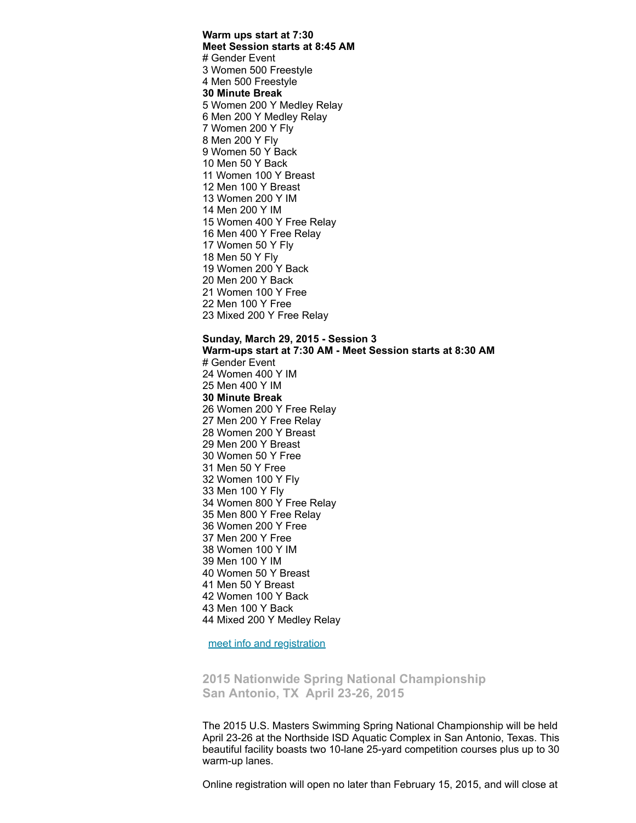**Warm ups start at 7:30 Meet Session starts at 8:45 AM** # Gender Event Women 500 Freestyle Men 500 Freestyle **Minute Break** Women 200 Y Medley Relay Men 200 Y Medley Relay Women 200 Y Fly Men 200 Y Fly Women 50 Y Back Men 50 Y Back Women 100 Y Breast Men 100 Y Breast Women 200 Y IM Men 200 Y IM Women 400 Y Free Relay Men 400 Y Free Relay Women 50 Y Fly Men 50 Y Fly Women 200 Y Back Men 200 Y Back Women 100 Y Free Men 100 Y Free Mixed 200 Y Free Relay

**Sunday, March 29, 2015 - Session 3 Warm-ups start at 7:30 AM - Meet Session starts at 8:30 AM** # Gender Event Women 400 Y IM Men 400 Y IM **Minute Break** Women 200 Y Free Relay Men 200 Y Free Relay Women 200 Y Breast Men 200 Y Breast Women 50 Y Free Men 50 Y Free Women 100 Y Fly Men 100 Y Fly Women 800 Y Free Relay Men 800 Y Free Relay Women 200 Y Free Men 200 Y Free Women 100 Y IM Men 100 Y IM Women 50 Y Breast Men 50 Y Breast Women 100 Y Back Men 100 Y Back Mixed 200 Y Medley Relay

meet info and [registration](https://www.clubassistant.com/club/meet_information.cfm?c=1279&smid=6143)

<span id="page-3-0"></span>**2015 Nationwide Spring National Championship San Antonio, TX April 23-26, 2015**

The 2015 U.S. Masters Swimming Spring National Championship will be held April 23-26 at the Northside ISD Aquatic Complex in San Antonio, Texas. This beautiful facility boasts two 10-lane 25-yard competition courses plus up to 30 warm-up lanes.

Online registration will open no later than February 15, 2015, and will close at